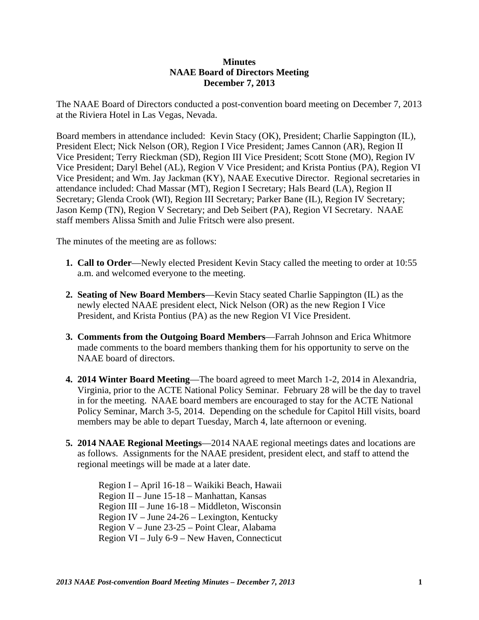## **Minutes NAAE Board of Directors Meeting December 7, 2013**

The NAAE Board of Directors conducted a post-convention board meeting on December 7, 2013 at the Riviera Hotel in Las Vegas, Nevada.

Board members in attendance included: Kevin Stacy (OK), President; Charlie Sappington (IL), President Elect; Nick Nelson (OR), Region I Vice President; James Cannon (AR), Region II Vice President; Terry Rieckman (SD), Region III Vice President; Scott Stone (MO), Region IV Vice President; Daryl Behel (AL), Region V Vice President; and Krista Pontius (PA), Region VI Vice President; and Wm. Jay Jackman (KY), NAAE Executive Director. Regional secretaries in attendance included: Chad Massar (MT), Region I Secretary; Hals Beard (LA), Region II Secretary; Glenda Crook (WI), Region III Secretary; Parker Bane (IL), Region IV Secretary; Jason Kemp (TN), Region V Secretary; and Deb Seibert (PA), Region VI Secretary. NAAE staff members Alissa Smith and Julie Fritsch were also present.

The minutes of the meeting are as follows:

- **1. Call to Order**—Newly elected President Kevin Stacy called the meeting to order at 10:55 a.m. and welcomed everyone to the meeting.
- **2. Seating of New Board Members**—Kevin Stacy seated Charlie Sappington (IL) as the newly elected NAAE president elect, Nick Nelson (OR) as the new Region I Vice President, and Krista Pontius (PA) as the new Region VI Vice President.
- **3. Comments from the Outgoing Board Members**—Farrah Johnson and Erica Whitmore made comments to the board members thanking them for his opportunity to serve on the NAAE board of directors.
- **4. 2014 Winter Board Meeting**—The board agreed to meet March 1-2, 2014 in Alexandria, Virginia, prior to the ACTE National Policy Seminar. February 28 will be the day to travel in for the meeting. NAAE board members are encouraged to stay for the ACTE National Policy Seminar, March 3-5, 2014. Depending on the schedule for Capitol Hill visits, board members may be able to depart Tuesday, March 4, late afternoon or evening.
- **5. 2014 NAAE Regional Meetings**—2014 NAAE regional meetings dates and locations are as follows. Assignments for the NAAE president, president elect, and staff to attend the regional meetings will be made at a later date.

Region I – April 16-18 – Waikiki Beach, Hawaii Region II – June 15-18 – Manhattan, Kansas Region III – June 16-18 – Middleton, Wisconsin Region IV – June 24-26 – Lexington, Kentucky Region V – June 23-25 – Point Clear, Alabama Region VI – July 6-9 – New Haven, Connecticut